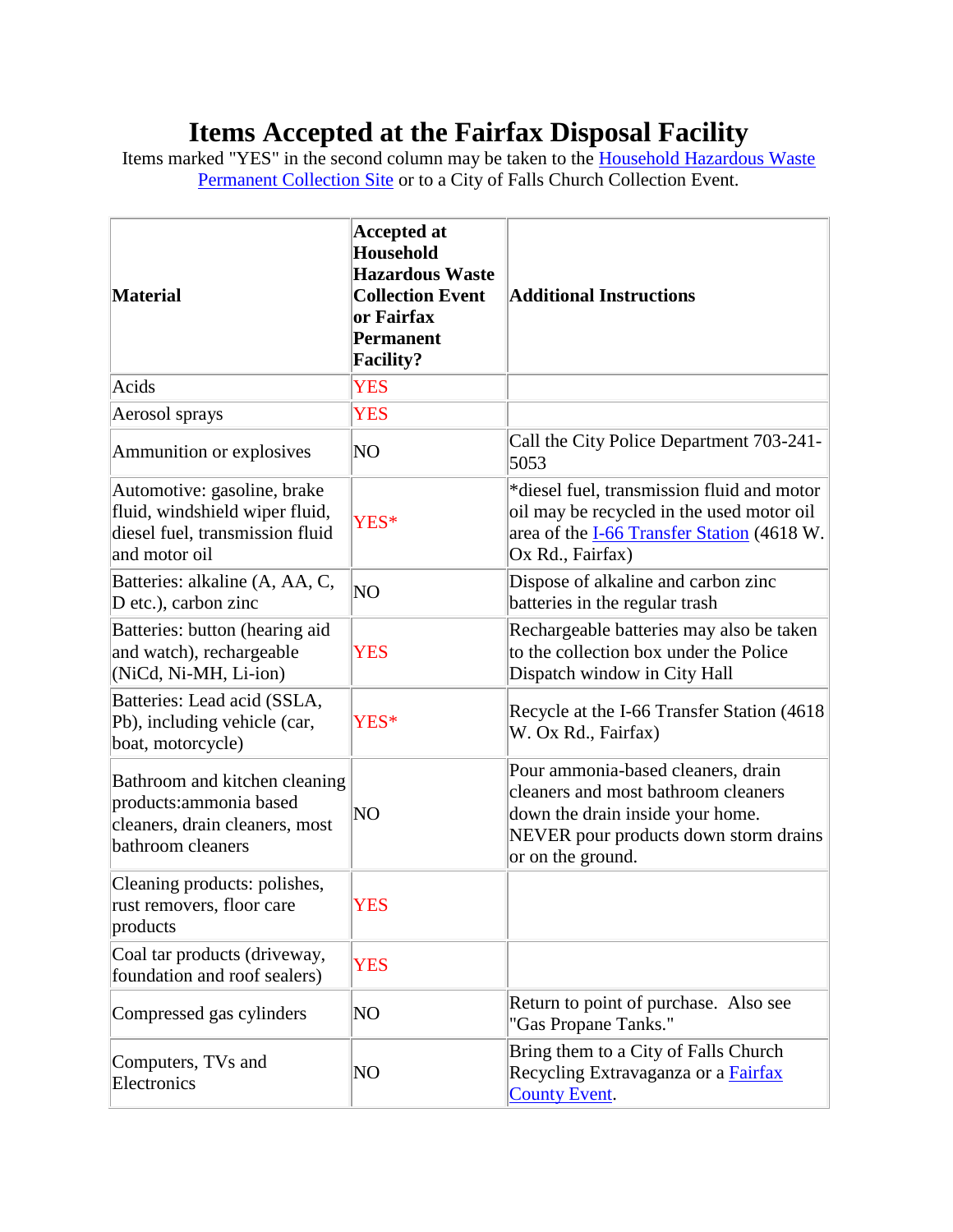## **Items Accepted at the Fairfax Disposal Facility**

Items marked "YES" in the second column may be taken to the **Household Hazardous Waste** [Permanent Collection Site](http://www.fairfaxcounty.gov/dpwes/trash/dispsites.htm) or to a City of Falls Church Collection Event.

| <b>Material</b>                                                                                                   | <b>Accepted at</b><br><b>Household</b><br><b>Hazardous Waste</b><br><b>Collection Event</b><br>or Fairfax<br><b>Permanent</b><br><b>Facility?</b> | <b>Additional Instructions</b>                                                                                                                                              |
|-------------------------------------------------------------------------------------------------------------------|---------------------------------------------------------------------------------------------------------------------------------------------------|-----------------------------------------------------------------------------------------------------------------------------------------------------------------------------|
| Acids                                                                                                             | <b>YES</b>                                                                                                                                        |                                                                                                                                                                             |
| Aerosol sprays                                                                                                    | <b>YES</b>                                                                                                                                        |                                                                                                                                                                             |
| Ammunition or explosives                                                                                          | NO                                                                                                                                                | Call the City Police Department 703-241-<br>5053                                                                                                                            |
| Automotive: gasoline, brake<br>fluid, windshield wiper fluid,<br>diesel fuel, transmission fluid<br>and motor oil | YES*                                                                                                                                              | *diesel fuel, transmission fluid and motor<br>oil may be recycled in the used motor oil<br>area of the <b>I-66 Transfer Station</b> (4618 W.<br>Ox Rd., Fairfax)            |
| Batteries: alkaline (A, AA, C,<br>D etc.), carbon zinc                                                            | N <sub>O</sub>                                                                                                                                    | Dispose of alkaline and carbon zinc<br>batteries in the regular trash                                                                                                       |
| Batteries: button (hearing aid<br>and watch), rechargeable<br>(NiCd, Ni-MH, Li-ion)                               | <b>YES</b>                                                                                                                                        | Rechargeable batteries may also be taken<br>to the collection box under the Police<br>Dispatch window in City Hall                                                          |
| Batteries: Lead acid (SSLA,<br>Pb), including vehicle (car,<br>boat, motorcycle)                                  | YES*                                                                                                                                              | Recycle at the I-66 Transfer Station (4618)<br>W. Ox Rd., Fairfax)                                                                                                          |
| Bathroom and kitchen cleaning<br>products: ammonia based<br>cleaners, drain cleaners, most<br>bathroom cleaners   | NO                                                                                                                                                | Pour ammonia-based cleaners, drain<br>cleaners and most bathroom cleaners<br>down the drain inside your home.<br>NEVER pour products down storm drains<br>or on the ground. |
| Cleaning products: polishes,<br>rust removers, floor care<br>products                                             | <b>YES</b>                                                                                                                                        |                                                                                                                                                                             |
| Coal tar products (driveway,<br>foundation and roof sealers)                                                      | <b>YES</b>                                                                                                                                        |                                                                                                                                                                             |
| Compressed gas cylinders                                                                                          | NO                                                                                                                                                | Return to point of purchase. Also see<br>"Gas Propane Tanks."                                                                                                               |
| Computers, TVs and<br>Electronics                                                                                 | NO                                                                                                                                                | Bring them to a City of Falls Church<br>Recycling Extravaganza or a Fairfax<br><b>County Event.</b>                                                                         |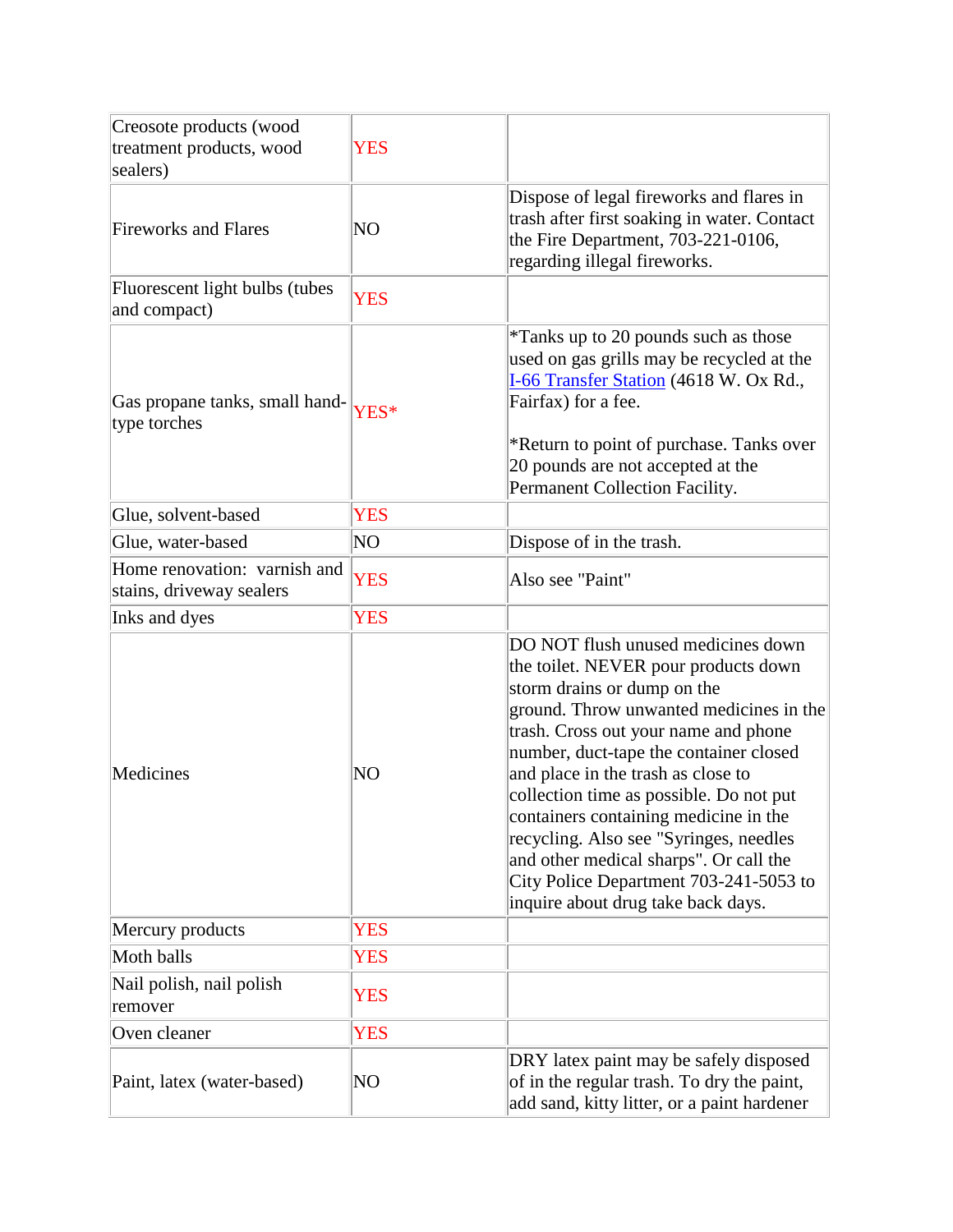| Creosote products (wood                                  |            |                                                                                                                                                                                                                                                                                                                                                                                                                                                                                                                                      |
|----------------------------------------------------------|------------|--------------------------------------------------------------------------------------------------------------------------------------------------------------------------------------------------------------------------------------------------------------------------------------------------------------------------------------------------------------------------------------------------------------------------------------------------------------------------------------------------------------------------------------|
| treatment products, wood                                 | <b>YES</b> |                                                                                                                                                                                                                                                                                                                                                                                                                                                                                                                                      |
| sealers)                                                 |            |                                                                                                                                                                                                                                                                                                                                                                                                                                                                                                                                      |
| <b>Fireworks and Flares</b>                              | NO         | Dispose of legal fireworks and flares in<br>trash after first soaking in water. Contact<br>the Fire Department, 703-221-0106,<br>regarding illegal fireworks.                                                                                                                                                                                                                                                                                                                                                                        |
| Fluorescent light bulbs (tubes<br>and compact)           | <b>YES</b> |                                                                                                                                                                                                                                                                                                                                                                                                                                                                                                                                      |
| Gas propane tanks, small hand-<br>type torches           | YES*       | *Tanks up to 20 pounds such as those<br>used on gas grills may be recycled at the<br>I-66 Transfer Station (4618 W. Ox Rd.,<br>Fairfax) for a fee.<br>*Return to point of purchase. Tanks over<br>20 pounds are not accepted at the<br>Permanent Collection Facility.                                                                                                                                                                                                                                                                |
| Glue, solvent-based                                      | <b>YES</b> |                                                                                                                                                                                                                                                                                                                                                                                                                                                                                                                                      |
| Glue, water-based                                        | NO         | Dispose of in the trash.                                                                                                                                                                                                                                                                                                                                                                                                                                                                                                             |
| Home renovation: varnish and<br>stains, driveway sealers | <b>YES</b> | Also see "Paint"                                                                                                                                                                                                                                                                                                                                                                                                                                                                                                                     |
| Inks and dyes                                            | <b>YES</b> |                                                                                                                                                                                                                                                                                                                                                                                                                                                                                                                                      |
| Medicines                                                | NO         | DO NOT flush unused medicines down<br>the toilet. NEVER pour products down<br>storm drains or dump on the<br>ground. Throw unwanted medicines in the<br>trash. Cross out your name and phone<br>number, duct-tape the container closed<br>and place in the trash as close to<br>collection time as possible. Do not put<br>containers containing medicine in the<br>recycling. Also see "Syringes, needles<br>and other medical sharps". Or call the<br>City Police Department 703-241-5053 to<br>inquire about drug take back days. |
| Mercury products                                         | <b>YES</b> |                                                                                                                                                                                                                                                                                                                                                                                                                                                                                                                                      |
| Moth balls                                               | <b>YES</b> |                                                                                                                                                                                                                                                                                                                                                                                                                                                                                                                                      |
| Nail polish, nail polish<br>remover                      | <b>YES</b> |                                                                                                                                                                                                                                                                                                                                                                                                                                                                                                                                      |
| Oven cleaner                                             | <b>YES</b> |                                                                                                                                                                                                                                                                                                                                                                                                                                                                                                                                      |
| Paint, latex (water-based)                               | NO         | DRY latex paint may be safely disposed<br>of in the regular trash. To dry the paint,<br>add sand, kitty litter, or a paint hardener                                                                                                                                                                                                                                                                                                                                                                                                  |